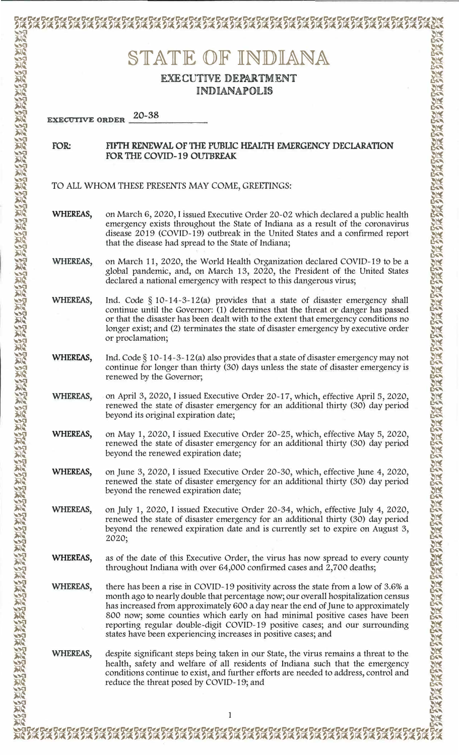## STATE OF INDIANA **EXECUTIVE DEPARTMENT INDIANAPOLIS** 20-38 **EXECUTIVE ORDER** FOR: FIFTH RENEWAL OF THE PUBLIC HEALTH EMERGENCY DECLARATION **FOR THE COVID-19 OUTBREAK** TO ALL WHOM THESE PRESENTS MAY COME, GREETINGS: on March 6, 2020, I issued Executive Order 20-02 which declared a public health WHEREAS, emergency exists throughout the State of Indiana as a result of the coronavirus disease 2019 (COVID-19) outbreak in the United States and a confirmed report that the disease had spread to the State of Indiana; WHEREAS, on March 11, 2020, the World Health Organization declared COVID-19 to be a global pandemic, and, on March 13, 2020, the President of the United States declared a national emergency with respect to this dangerous virus; Ind. Code § 10-14-3-12(a) provides that a state of disaster emergency shall WHEREAS. continue until the Governor: (1) determines that the threat or danger has passed or that the disaster has been dealt with to the extent that emergency conditions no longer exist; and (2) terminates the state of disaster emergency by executive order or proclamation; WHEREAS. Ind. Code  $\S 10 - 14 - 3 - 12(a)$  also provides that a state of disaster emergency may not continue for longer than thirty (30) days unless the state of disaster emergency is renewed by the Governor; WHEREAS, on April 3, 2020, I issued Executive Order 20-17, which, effective April 5, 2020, renewed the state of disaster emergency for an additional thirty (30) day period beyond its original expiration date; on May 1, 2020, I issued Executive Order 20-25, which, effective May 5, 2020, WHEREAS, renewed the state of disaster emergency for an additional thirty (30) day period beyond the renewed expiration date; WHEREAS, on June 3, 2020, I issued Executive Order 20-30, which, effective June 4, 2020, renewed the state of disaster emergency for an additional thirty (30) day period beyond the renewed expiration date; WHEREAS, on July 1, 2020, I issued Executive Order 20-34, which, effective July 4, 2020, renewed the state of disaster emergency for an additional thirty (30) day period beyond the renewed expiration date and is currently set to expire on August 3, 2020; WHEREAS, as of the date of this Executive Order, the virus has now spread to every county throughout Indiana with over 64,000 confirmed cases and 2,700 deaths; WHEREAS, there has been a rise in COVID-19 positivity across the state from a low of 3.6% a month ago to nearly double that percentage now; our overall hospitalization census has increased from approximately 600 a day near the end of June to approximately 800 now; some counties which early on had minimal positive cases have been reporting regular double-digit COVID-19 positive cases; and our surrounding states have been experiencing increases in positive cases; and WHEREAS, despite significant steps being taken in our State, the virus remains a threat to the health, safety and welfare of all residents of Indiana such that the emergency conditions continue to exist, and further efforts are needed to address, control and reduce the threat posed by COVID-19; and